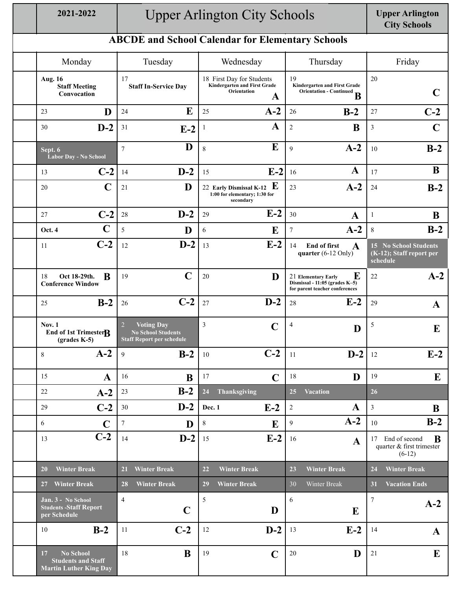## **2021-2022 Upper Arlington**  Upper Arlington City Schools

## **City Schools**

## **ABCDE and School Calendar for Elementary Schools**

| Monday                                                                               | Tuesday                                                                                              | Wednesday                                                                            | Thursday                                                                                     | Friday                                                         |
|--------------------------------------------------------------------------------------|------------------------------------------------------------------------------------------------------|--------------------------------------------------------------------------------------|----------------------------------------------------------------------------------------------|----------------------------------------------------------------|
| <b>Aug. 16</b><br><b>Staff Meeting</b><br>Convocation                                | 17<br><b>Staff In-Service Day</b>                                                                    | 18 First Day for Students<br><b>Kindergarten and First Grade</b><br>Orientation<br>A | 19<br><b>Kindergarten and First Grade</b><br>Orientation - Continued<br>В                    | 20<br>C                                                        |
| D                                                                                    | E                                                                                                    | $A-2$                                                                                | $B-2$                                                                                        | $C-2$                                                          |
| 23                                                                                   | 24                                                                                                   | 25                                                                                   | 26                                                                                           | 27                                                             |
| $D-2$                                                                                | 31                                                                                                   | A                                                                                    | B                                                                                            | $\overline{\mathbf{3}}$                                        |
| 30                                                                                   | $E-2$                                                                                                | $\mathbf{1}$                                                                         | $\overline{c}$                                                                               | $\mathbf C$                                                    |
| Sept. 6                                                                              | D                                                                                                    | E                                                                                    | $A-2$                                                                                        | $B-2$                                                          |
| Labor Day - No School                                                                | $\overline{7}$                                                                                       | 8                                                                                    | 9                                                                                            | 10                                                             |
| $C-2$                                                                                | $D-2$                                                                                                | $E-2$                                                                                | $\mathbf A$                                                                                  | B                                                              |
| 13                                                                                   | 14                                                                                                   | 15                                                                                   | 16                                                                                           | 17                                                             |
| C<br>20                                                                              | D<br>21                                                                                              | E<br>22 Early Dismissal K-12<br>1:00 for elementary; 1:30 for<br>secondary           | $A-2$<br>23                                                                                  | $B-2$<br>24                                                    |
| $C-2$                                                                                | $D-2$                                                                                                | $E-2$                                                                                | 30                                                                                           | 1                                                              |
| 27                                                                                   | $28\,$                                                                                               | 29                                                                                   | $\mathbf A$                                                                                  | B                                                              |
| $\mathbf C$                                                                          | 5                                                                                                    | E                                                                                    | $A-2$                                                                                        | $B-2$                                                          |
| Oct. 4                                                                               | D                                                                                                    | 6                                                                                    | $\tau$                                                                                       | $8\,$                                                          |
| $C-2$<br>11                                                                          | $D-2$<br>12                                                                                          | $E-2$<br>13                                                                          | 14<br><b>End of first</b><br>$\mathbf A$<br>quarter $(6-12 \text{ Only})$                    | 15 No School Students<br>(K-12); Staff report per<br>schedule  |
| B<br>18<br>Oct 18-29th.<br><b>Conference Window</b>                                  | $\mathbf C$<br>19                                                                                    | 20<br>D                                                                              | E<br>21 Elementary Early<br>Dismissal - 11:05 (grades K-5)<br>for parent teacher conferences | $A-2$<br>22                                                    |
| $B-2$                                                                                | $C-2$                                                                                                | $D-2$                                                                                | $E-2$                                                                                        | 29                                                             |
| 25                                                                                   | 26                                                                                                   | 27                                                                                   | 28                                                                                           | $\mathbf{A}$                                                   |
| <b>Nov. 1</b><br>End of 1st Trimester <sub>R</sub><br>$(grades K-5)$                 | $\overline{2}$<br><b>Voting Day</b><br><b>No School Students</b><br><b>Staff Report per schedule</b> | $\mathfrak{Z}$<br>$\mathbf C$                                                        | 4<br>D                                                                                       | $\sqrt{5}$<br>E                                                |
| $A-2$                                                                                | $B-2$                                                                                                | $C-2$                                                                                | $D-2$                                                                                        | $E-2$                                                          |
| 8                                                                                    | 9                                                                                                    | 10                                                                                   | 11                                                                                           | 12                                                             |
| 15                                                                                   | 16                                                                                                   | 17                                                                                   | 18                                                                                           | 19                                                             |
| $\mathbf{A}$                                                                         | B                                                                                                    | $\mathbf C$                                                                          | D                                                                                            | E                                                              |
| $A-2$<br>22                                                                          | $B-2$<br>23                                                                                          | 24<br>Thanksgiving                                                                   | <b>Vacation</b><br>25                                                                        | 26                                                             |
| $C-2$                                                                                | $D-2$                                                                                                | $E-2$                                                                                | $\mathbf A$                                                                                  | $\mathfrak{Z}$                                                 |
| 29                                                                                   | $30\,$                                                                                               | Dec. 1                                                                               | $\overline{c}$                                                                               | B                                                              |
| 6                                                                                    | $\boldsymbol{7}$                                                                                     | $8\,$                                                                                | $A-2$                                                                                        | $B-2$                                                          |
| $\mathbf C$                                                                          | D                                                                                                    | E                                                                                    | 9                                                                                            | 10                                                             |
| $C-2$<br>13                                                                          | $D-2$<br>14                                                                                          | $E-2$<br>15                                                                          | 16<br>$\mathbf{A}$                                                                           | 17 End of second<br>B<br>quarter & first trimester<br>$(6-12)$ |
| <b>Winter Break</b>                                                                  | <b>Winter Break</b>                                                                                  | <b>Winter Break</b>                                                                  | 23                                                                                           | <b>Winter Break</b>                                            |
| <b>20</b>                                                                            | <b>21</b>                                                                                            | 22                                                                                   | <b>Winter Break</b>                                                                          | 24                                                             |
| <b>Winter Break</b>                                                                  | <b>Winter Break</b>                                                                                  | <b>Winter Break</b>                                                                  | 30                                                                                           | 31                                                             |
| 27                                                                                   | 28                                                                                                   | 29                                                                                   | Winter Break                                                                                 | <b>Vacation Ends</b>                                           |
| Jan. 3 - No School<br><b>Students - Staff Report</b><br>per Schedule                 | $\overline{4}$<br>$\mathbf C$                                                                        | 5<br>D                                                                               | 6<br>E                                                                                       | $\boldsymbol{7}$<br>$A-2$                                      |
| $B-2$                                                                                | $C-2$                                                                                                | $D-2$                                                                                | $E-2$                                                                                        | 14                                                             |
| 10                                                                                   | 11                                                                                                   | $12\,$                                                                               | 13                                                                                           | $\mathbf{A}$                                                   |
| 17<br><b>No School</b><br><b>Students and Staff</b><br><b>Martin Luther King Day</b> | B<br>18                                                                                              | 19<br>$\mathbf C$                                                                    | D<br>$20\,$                                                                                  |                                                                |